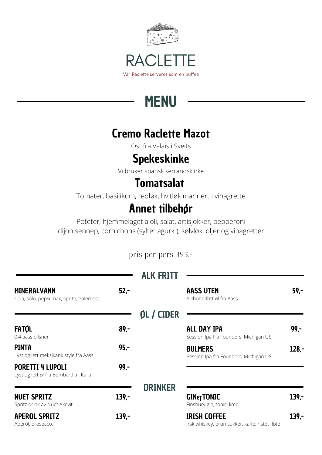

# **MENU**

#### Cremo Raclette Mazot

Ost fra Valais i Sveits

#### Spekeskinke

Vi bruker spansk serranoskinke

### **Tomatsalat**

Tomater, basilikum, redløk, hvitløk marinert i vinagrette

## Annet tilbehør

Poteter, hjemmelaget aioli, salat, artisjokker, pepperoni dijon sennep, cornichons (syltet agurk ), sølvløk, oljer og vinagretter

pris per pers 395,-

|                                                                   |         | <b>ALK FRITT</b> |                                                                       |         |
|-------------------------------------------------------------------|---------|------------------|-----------------------------------------------------------------------|---------|
| <b>MINERALVANN</b><br>Cola, solo, pepsi max, sprite, eplemost     | $52 -$  |                  | <b>AASS UTEN</b><br>Alkhoholfritt øl fra Aass                         | $59,-$  |
|                                                                   |         | OL / CIDER       |                                                                       |         |
| <b>FATOL</b><br>0,4 aass pilsner                                  | $89 -$  |                  | <b>ALL DAY IPA</b><br>Session Ipa fra Founders, Michigan US           | $99 -$  |
| <b>PINTA</b><br>Lyst og lett meksikank style fra Aass             | $95 -$  |                  | <b>BULMERS</b><br>Session Ipa fra Founders, Michigan US               | $128 -$ |
| <b>PORETTI 4 LUPOLI</b><br>Lyst og lett øl fra Bombardia i Italia | $99 -$  |                  |                                                                       |         |
|                                                                   |         | <b>DRINKER</b>   |                                                                       |         |
| <b>NUET SPRITZ</b><br>Spritz drink av Nuet Akevit                 | $139 -$ |                  | <b>GINET TONIC</b><br>Finsbury gin, tonic, lime                       | $139 -$ |
| <b>APEROL SPRITZ</b><br>Aperol, prosecco,                         | $139 -$ |                  | <b>IRISH COFFEE</b><br>Irsk whiskey, brun sukker, kaffe, ristet fløte | $139 -$ |